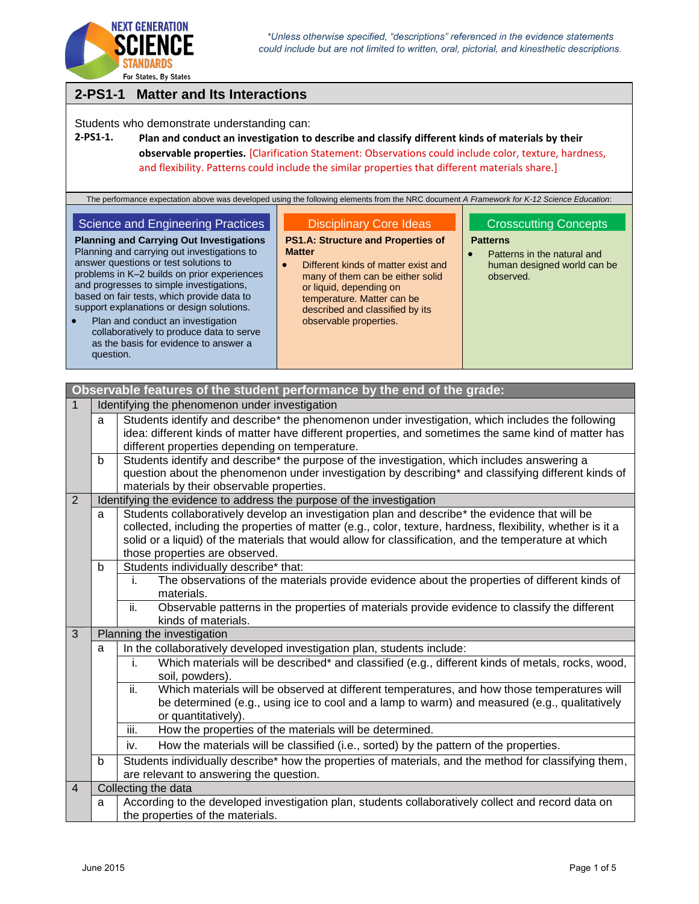

# **2-PS1-1 Matter and Its Interactions**

Students who demonstrate understanding can:

# **2-PS1-1. Plan and conduct an investigation to describe and classify different kinds of materials by their observable properties.** [Clarification Statement: Observations could include color, texture, hardness, and flexibility. Patterns could include the similar properties that different materials share.]

The performance expectation above was developed using the following elements from the NRC document *A Framework for K-12 Science Education*:

| Science and Engineering Practices                                                                                                                                                                                                                                                                                                                                                                                                                                                 | <b>Disciplinary Core Ideas</b>                                                                                                                                                                                                                              | <b>Crosscutting Concepts</b>                                                               |
|-----------------------------------------------------------------------------------------------------------------------------------------------------------------------------------------------------------------------------------------------------------------------------------------------------------------------------------------------------------------------------------------------------------------------------------------------------------------------------------|-------------------------------------------------------------------------------------------------------------------------------------------------------------------------------------------------------------------------------------------------------------|--------------------------------------------------------------------------------------------|
| <b>Planning and Carrying Out Investigations</b><br>Planning and carrying out investigations to<br>answer questions or test solutions to<br>problems in K-2 builds on prior experiences<br>and progresses to simple investigations,<br>based on fair tests, which provide data to<br>support explanations or design solutions.<br>Plan and conduct an investigation<br>$\bullet$<br>collaboratively to produce data to serve<br>as the basis for evidence to answer a<br>question. | <b>PS1.A: Structure and Properties of</b><br><b>Matter</b><br>Different kinds of matter exist and<br>many of them can be either solid<br>or liquid, depending on<br>temperature. Matter can be<br>described and classified by its<br>observable properties. | <b>Patterns</b><br>Patterns in the natural and<br>human designed world can be<br>observed. |

|                |                                                                      | Observable features of the student performance by the end of the grade:                                                                                                                                                                                                                                                                                  |
|----------------|----------------------------------------------------------------------|----------------------------------------------------------------------------------------------------------------------------------------------------------------------------------------------------------------------------------------------------------------------------------------------------------------------------------------------------------|
| $\mathbf{1}$   |                                                                      | Identifying the phenomenon under investigation                                                                                                                                                                                                                                                                                                           |
|                | a                                                                    | Students identify and describe* the phenomenon under investigation, which includes the following<br>idea: different kinds of matter have different properties, and sometimes the same kind of matter has<br>different properties depending on temperature.                                                                                               |
|                | b                                                                    | Students identify and describe* the purpose of the investigation, which includes answering a<br>question about the phenomenon under investigation by describing* and classifying different kinds of<br>materials by their observable properties.                                                                                                         |
| 2              | Identifying the evidence to address the purpose of the investigation |                                                                                                                                                                                                                                                                                                                                                          |
|                | a                                                                    | Students collaboratively develop an investigation plan and describe* the evidence that will be<br>collected, including the properties of matter (e.g., color, texture, hardness, flexibility, whether is it a<br>solid or a liquid) of the materials that would allow for classification, and the temperature at which<br>those properties are observed. |
|                | b                                                                    | Students individually describe* that:                                                                                                                                                                                                                                                                                                                    |
|                |                                                                      | The observations of the materials provide evidence about the properties of different kinds of<br>i.<br>materials.                                                                                                                                                                                                                                        |
|                |                                                                      | Observable patterns in the properties of materials provide evidence to classify the different<br>ii.<br>kinds of materials.                                                                                                                                                                                                                              |
| 3              |                                                                      | Planning the investigation                                                                                                                                                                                                                                                                                                                               |
|                | a                                                                    | In the collaboratively developed investigation plan, students include:                                                                                                                                                                                                                                                                                   |
|                |                                                                      | Which materials will be described* and classified (e.g., different kinds of metals, rocks, wood,<br>i.<br>soil, powders).                                                                                                                                                                                                                                |
|                |                                                                      | Which materials will be observed at different temperatures, and how those temperatures will<br>ii.<br>be determined (e.g., using ice to cool and a lamp to warm) and measured (e.g., qualitatively<br>or quantitatively).                                                                                                                                |
|                |                                                                      | iii.<br>How the properties of the materials will be determined.                                                                                                                                                                                                                                                                                          |
|                |                                                                      | How the materials will be classified (i.e., sorted) by the pattern of the properties.<br>iv.                                                                                                                                                                                                                                                             |
|                | b                                                                    | Students individually describe* how the properties of materials, and the method for classifying them,<br>are relevant to answering the question.                                                                                                                                                                                                         |
| $\overline{4}$ |                                                                      | Collecting the data                                                                                                                                                                                                                                                                                                                                      |
|                | a                                                                    | According to the developed investigation plan, students collaboratively collect and record data on<br>the properties of the materials.                                                                                                                                                                                                                   |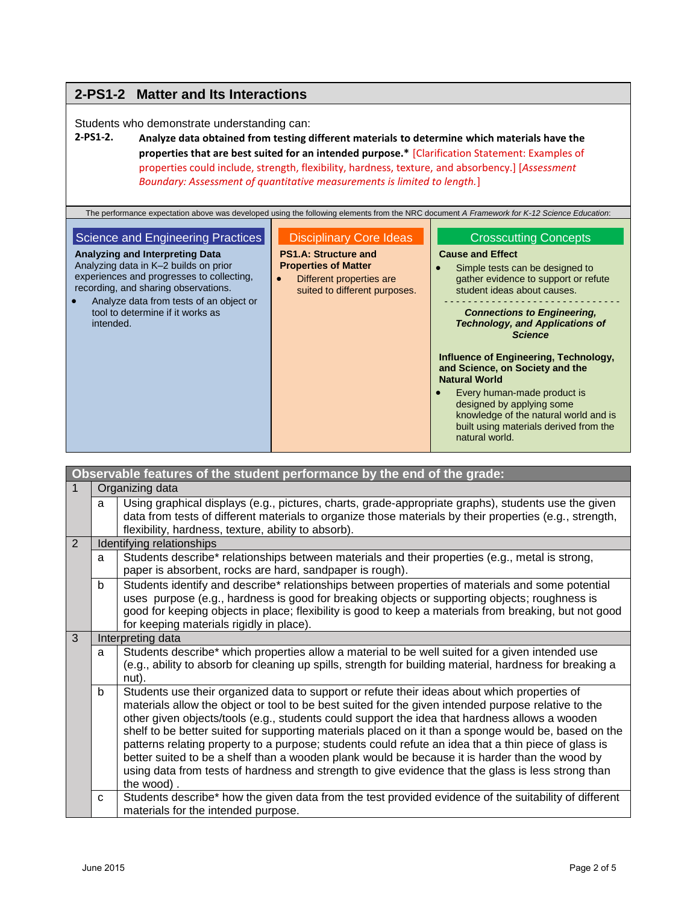# **2-PS1-2 Matter and Its Interactions**

Students who demonstrate understanding can:

## **2-PS1-2. Analyze data obtained from testing different materials to determine which materials have the properties that are best suited for an intended purpose.\*** [Clarification Statement: Examples of properties could include, strength, flexibility, hardness, texture, and absorbency.] [*Assessment Boundary: Assessment of quantitative measurements is limited to length.*]

The performance expectation above was developed using the following elements from the NRC document *A Framework for K-12 Science Education*:

### Science and Engineering Practices

**Analyzing and Interpreting Data** Analyzing data in K–2 builds on prior experiences and progresses to collecting, recording, and sharing observations.

 Analyze data from tests of an object or tool to determine if it works as intended.

## Disciplinary Core Ideas

#### **PS1.A: Structure and Properties of Matter**

• Different properties are suited to different purposes.

### Crosscutting Concepts

### **Cause and Effect**

• Simple tests can be designed to gather evidence to support or refute student ideas about causes.

#### - - - - - - - - - - - - - - - - - - - - - - - - - - - - - - *Connections to Engineering, Technology, and Applications of Science*

**Influence of Engineering, Technology, and Science, on Society and the Natural World**

 Every human-made product is designed by applying some knowledge of the natural world and is built using materials derived from the natural world.

|   |                   | Observable features of the student performance by the end of the grade:                                                                                                                                                                                                                                                                                                                                                                                                                                                                                                                                                                                                                                                                     |  |
|---|-------------------|---------------------------------------------------------------------------------------------------------------------------------------------------------------------------------------------------------------------------------------------------------------------------------------------------------------------------------------------------------------------------------------------------------------------------------------------------------------------------------------------------------------------------------------------------------------------------------------------------------------------------------------------------------------------------------------------------------------------------------------------|--|
|   |                   | Organizing data                                                                                                                                                                                                                                                                                                                                                                                                                                                                                                                                                                                                                                                                                                                             |  |
|   | a                 | Using graphical displays (e.g., pictures, charts, grade-appropriate graphs), students use the given<br>data from tests of different materials to organize those materials by their properties (e.g., strength,<br>flexibility, hardness, texture, ability to absorb).                                                                                                                                                                                                                                                                                                                                                                                                                                                                       |  |
| 2 |                   | Identifying relationships                                                                                                                                                                                                                                                                                                                                                                                                                                                                                                                                                                                                                                                                                                                   |  |
|   | a                 | Students describe* relationships between materials and their properties (e.g., metal is strong,<br>paper is absorbent, rocks are hard, sandpaper is rough).                                                                                                                                                                                                                                                                                                                                                                                                                                                                                                                                                                                 |  |
|   | b                 | Students identify and describe* relationships between properties of materials and some potential<br>uses purpose (e.g., hardness is good for breaking objects or supporting objects; roughness is<br>good for keeping objects in place; flexibility is good to keep a materials from breaking, but not good<br>for keeping materials rigidly in place).                                                                                                                                                                                                                                                                                                                                                                                     |  |
| 3 | Interpreting data |                                                                                                                                                                                                                                                                                                                                                                                                                                                                                                                                                                                                                                                                                                                                             |  |
|   | a                 | Students describe* which properties allow a material to be well suited for a given intended use<br>(e.g., ability to absorb for cleaning up spills, strength for building material, hardness for breaking a<br>nut).                                                                                                                                                                                                                                                                                                                                                                                                                                                                                                                        |  |
|   | $\mathsf{b}$      | Students use their organized data to support or refute their ideas about which properties of<br>materials allow the object or tool to be best suited for the given intended purpose relative to the<br>other given objects/tools (e.g., students could support the idea that hardness allows a wooden<br>shelf to be better suited for supporting materials placed on it than a sponge would be, based on the<br>patterns relating property to a purpose; students could refute an idea that a thin piece of glass is<br>better suited to be a shelf than a wooden plank would be because it is harder than the wood by<br>using data from tests of hardness and strength to give evidence that the glass is less strong than<br>the wood). |  |
|   | $\mathbf{C}$      | Students describe* how the given data from the test provided evidence of the suitability of different<br>materials for the intended purpose.                                                                                                                                                                                                                                                                                                                                                                                                                                                                                                                                                                                                |  |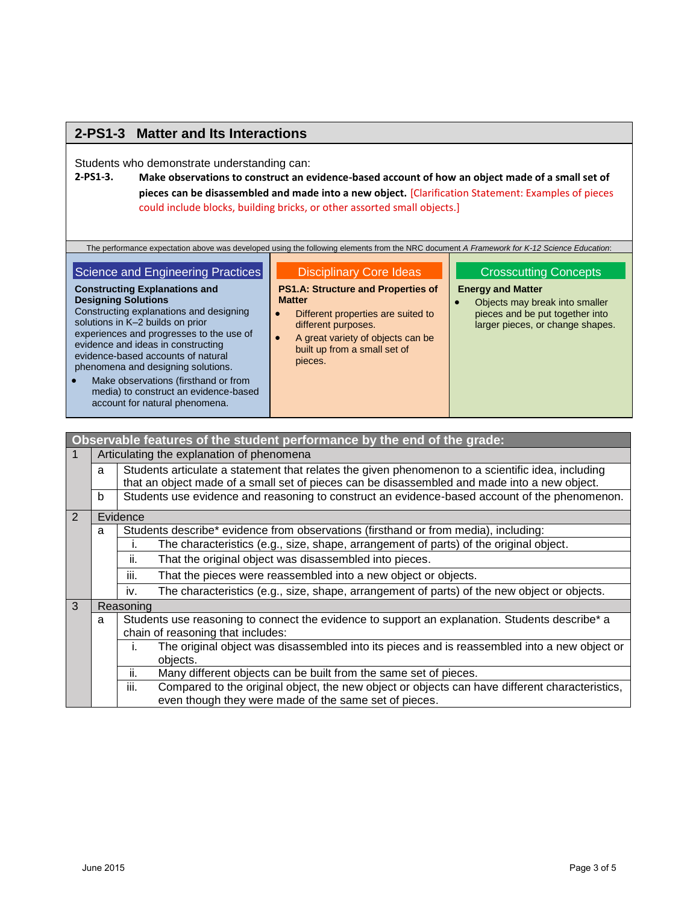# **2-PS1-3 Matter and Its Interactions**

Students who demonstrate understanding can:

**2-PS1-3. Make observations to construct an evidence-based account of how an object made of a small set of pieces can be disassembled and made into a new object.** [Clarification Statement: Examples of pieces could include blocks, building bricks, or other assorted small objects.]

The performance expectation above was developed using the following elements from the NRC document *A Framework for K-12 Science Education*:

### Science and Engineering Practices

Constructing explanations and designing

experiences and progresses to the use of evidence and ideas in constructing evidence-based accounts of natural phenomena and designing solutions. • Make observations (firsthand or from media) to construct an evidence-based account for natural phenomena.

**Constructing Explanations and** 

solutions in K–2 builds on prior

**Designing Solutions**

#### Disciplinary Core Ideas

**PS1.A: Structure and Properties of Matter**

- Different properties are suited to different purposes.
- A great variety of objects can be built up from a small set of pieces.

#### Crosscutting Concepts

- **Energy and Matter**
- Objects may break into smaller pieces and be put together into larger pieces, or change shapes.

|                                   |                                                                                                                 | Observable features of the student performance by the end of the grade:                                                                                                                           |  |  |
|-----------------------------------|-----------------------------------------------------------------------------------------------------------------|---------------------------------------------------------------------------------------------------------------------------------------------------------------------------------------------------|--|--|
| 1                                 |                                                                                                                 | Articulating the explanation of phenomena                                                                                                                                                         |  |  |
|                                   | a                                                                                                               | Students articulate a statement that relates the given phenomenon to a scientific idea, including<br>that an object made of a small set of pieces can be disassembled and made into a new object. |  |  |
|                                   | b                                                                                                               | Students use evidence and reasoning to construct an evidence-based account of the phenomenon.                                                                                                     |  |  |
| 2                                 |                                                                                                                 | Evidence                                                                                                                                                                                          |  |  |
|                                   | Students describe* evidence from observations (firsthand or from media), including:<br>a                        |                                                                                                                                                                                                   |  |  |
|                                   |                                                                                                                 | The characteristics (e.g., size, shape, arrangement of parts) of the original object.                                                                                                             |  |  |
|                                   |                                                                                                                 | That the original object was disassembled into pieces.<br>ii.                                                                                                                                     |  |  |
|                                   |                                                                                                                 | That the pieces were reassembled into a new object or objects.<br>iii.                                                                                                                            |  |  |
|                                   |                                                                                                                 | The characteristics (e.g., size, shape, arrangement of parts) of the new object or objects.<br>iv.                                                                                                |  |  |
| 3                                 |                                                                                                                 | Reasoning                                                                                                                                                                                         |  |  |
|                                   | Students use reasoning to connect the evidence to support an explanation. Students describe <sup>*</sup> a<br>a |                                                                                                                                                                                                   |  |  |
| chain of reasoning that includes: |                                                                                                                 |                                                                                                                                                                                                   |  |  |
|                                   |                                                                                                                 | The original object was disassembled into its pieces and is reassembled into a new object or<br>L.                                                                                                |  |  |
|                                   |                                                                                                                 | objects.                                                                                                                                                                                          |  |  |
|                                   |                                                                                                                 | Many different objects can be built from the same set of pieces.<br>ii.                                                                                                                           |  |  |
|                                   |                                                                                                                 | iii.<br>Compared to the original object, the new object or objects can have different characteristics,                                                                                            |  |  |
|                                   |                                                                                                                 | even though they were made of the same set of pieces.                                                                                                                                             |  |  |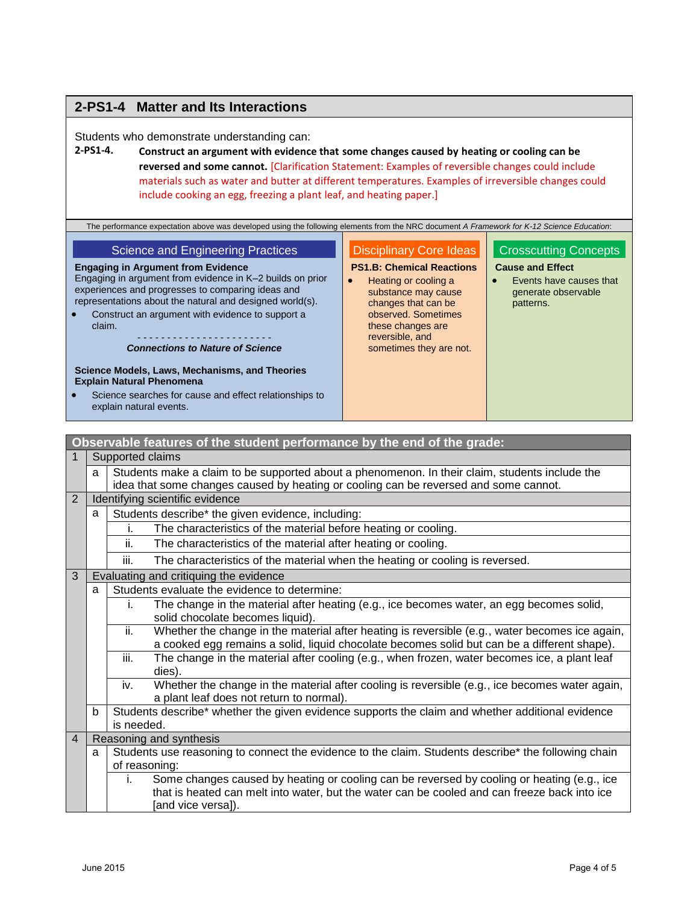# **2-PS1-4 Matter and Its Interactions**

Students who demonstrate understanding can:<br>2-PS1-4. Construct an argument with evidence

**2-PS1-4. Construct an argument with evidence that some changes caused by heating or cooling can be reversed and some cannot.** [Clarification Statement: Examples of reversible changes could include materials such as water and butter at different temperatures. Examples of irreversible changes could include cooking an egg, freezing a plant leaf, and heating paper.]

| <b>Disciplinary Core Ideas</b><br><b>Crosscutting Concepts</b><br><b>Science and Engineering Practices</b><br><b>PS1.B: Chemical Reactions</b><br><b>Cause and Effect</b><br><b>Engaging in Argument from Evidence</b><br>Engaging in argument from evidence in K-2 builds on prior<br>Events have causes that<br>Heating or cooling a<br>experiences and progresses to comparing ideas and<br>generate observable<br>substance may cause<br>representations about the natural and designed world(s).<br>changes that can be<br>patterns.<br>observed. Sometimes<br>Construct an argument with evidence to support a<br>these changes are<br>claim.<br>reversible, and<br>.<br><b>Connections to Nature of Science</b><br>sometimes they are not. |
|---------------------------------------------------------------------------------------------------------------------------------------------------------------------------------------------------------------------------------------------------------------------------------------------------------------------------------------------------------------------------------------------------------------------------------------------------------------------------------------------------------------------------------------------------------------------------------------------------------------------------------------------------------------------------------------------------------------------------------------------------|
| Science Models, Laws, Mechanisms, and Theories<br><b>Explain Natural Phenomena</b><br>Science searches for cause and effect relationships to<br>explain natural events.                                                                                                                                                                                                                                                                                                                                                                                                                                                                                                                                                                           |

|                |   | Observable features of the student performance by the end of the grade:                                        |  |
|----------------|---|----------------------------------------------------------------------------------------------------------------|--|
|                |   | Supported claims                                                                                               |  |
|                | a | Students make a claim to be supported about a phenomenon. In their claim, students include the                 |  |
|                |   | idea that some changes caused by heating or cooling can be reversed and some cannot.                           |  |
| 2              |   | Identifying scientific evidence                                                                                |  |
|                | a | Students describe* the given evidence, including:                                                              |  |
|                |   | The characteristics of the material before heating or cooling.<br>i.                                           |  |
|                |   | The characteristics of the material after heating or cooling.<br>ii.                                           |  |
|                |   | The characteristics of the material when the heating or cooling is reversed.<br>iii.                           |  |
| 3              |   | Evaluating and critiquing the evidence                                                                         |  |
|                | a | Students evaluate the evidence to determine:                                                                   |  |
|                |   | The change in the material after heating (e.g., ice becomes water, an egg becomes solid,<br>i.                 |  |
|                |   | solid chocolate becomes liquid).                                                                               |  |
|                |   | Whether the change in the material after heating is reversible (e.g., water becomes ice again,<br>ii.          |  |
|                |   | a cooked egg remains a solid, liquid chocolate becomes solid but can be a different shape).                    |  |
|                |   | The change in the material after cooling (e.g., when frozen, water becomes ice, a plant leaf<br>iii.<br>dies). |  |
|                |   | Whether the change in the material after cooling is reversible (e.g., ice becomes water again,<br>iv.          |  |
|                |   | a plant leaf does not return to normal).                                                                       |  |
|                | b | Students describe* whether the given evidence supports the claim and whether additional evidence               |  |
|                |   | is needed.                                                                                                     |  |
| $\overline{4}$ |   | Reasoning and synthesis                                                                                        |  |
|                | a | Students use reasoning to connect the evidence to the claim. Students describe* the following chain            |  |
|                |   | of reasoning:                                                                                                  |  |
|                |   | Some changes caused by heating or cooling can be reversed by cooling or heating (e.g., ice<br>i.               |  |
|                |   | that is heated can melt into water, but the water can be cooled and can freeze back into ice                   |  |
|                |   | [and vice versa]).                                                                                             |  |